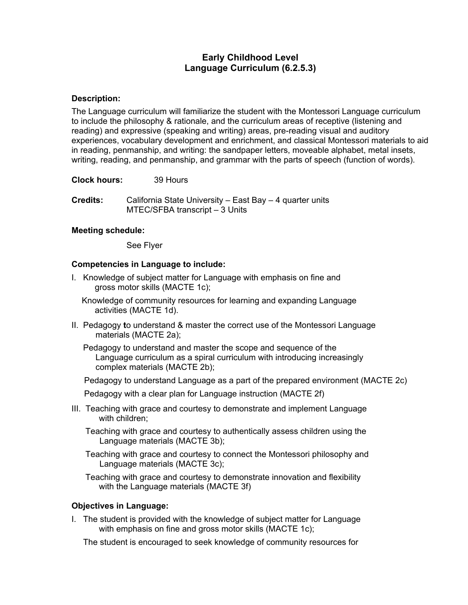# **Early Childhood Level Language Curriculum (6.2.5.3)**

# **Description:**

The Language curriculum will familiarize the student with the Montessori Language curriculum to include the philosophy & rationale, and the curriculum areas of receptive (listening and reading) and expressive (speaking and writing) areas, pre-reading visual and auditory experiences, vocabulary development and enrichment, and classical Montessori materials to aid in reading, penmanship, and writing: the sandpaper letters, moveable alphabet, metal insets, writing, reading, and penmanship, and grammar with the parts of speech (function of words).

**Clock hours:** 39 Hours

**Credits:** California State University – East Bay – 4 quarter units MTEC/SFBA transcript – 3 Units

### **Meeting schedule:**

See Flyer

### **Competencies in Language to include:**

I. Knowledge of subject matter for Language with emphasis on fine and gross motor skills (MACTE 1c);

Knowledge of community resources for learning and expanding Language activities (MACTE 1d).

II. Pedagogy **t**o understand & master the correct use of the Montessori Language materials (MACTE 2a);

 Pedagogy to understand and master the scope and sequence of the Language curriculum as a spiral curriculum with introducing increasingly complex materials (MACTE 2b);

Pedagogy to understand Language as a part of the prepared environment (MACTE 2c)

Pedagogy with a clear plan for Language instruction (MACTE 2f)

III. Teaching with grace and courtesy to demonstrate and implement Language with children;

 Teaching with grace and courtesy to authentically assess children using the Language materials (MACTE 3b);

 Teaching with grace and courtesy to connect the Montessori philosophy and Language materials (MACTE 3c);

 Teaching with grace and courtesy to demonstrate innovation and flexibility with the Language materials (MACTE 3f)

# **Objectives in Language:**

I. The student is provided with the knowledge of subject matter for Language with emphasis on fine and gross motor skills (MACTE 1c);

The student is encouraged to seek knowledge of community resources for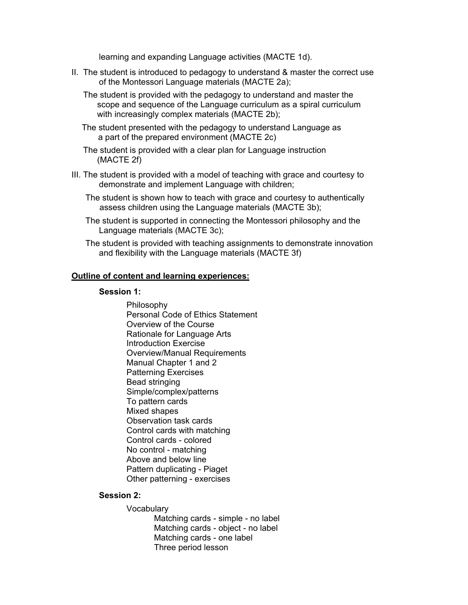learning and expanding Language activities (MACTE 1d).

- II. The student is introduced to pedagogy to understand & master the correct use of the Montessori Language materials (MACTE 2a);
	- The student is provided with the pedagogy to understand and master the scope and sequence of the Language curriculum as a spiral curriculum with increasingly complex materials (MACTE 2b);
	- The student presented with the pedagogy to understand Language as a part of the prepared environment (MACTE 2c)
	- The student is provided with a clear plan for Language instruction (MACTE 2f)
- III. The student is provided with a model of teaching with grace and courtesy to demonstrate and implement Language with children;
	- The student is shown how to teach with grace and courtesy to authentically assess children using the Language materials (MACTE 3b);
	- The student is supported in connecting the Montessori philosophy and the Language materials (MACTE 3c);
	- The student is provided with teaching assignments to demonstrate innovation and flexibility with the Language materials (MACTE 3f)

### **Outline of content and learning experiences:**

### **Session 1:**

Philosophy Personal Code of Ethics Statement Overview of the Course Rationale for Language Arts Introduction Exercise Overview/Manual Requirements Manual Chapter 1 and 2 Patterning Exercises Bead stringing Simple/complex/patterns To pattern cards Mixed shapes Observation task cards Control cards with matching Control cards - colored No control - matching Above and below line Pattern duplicating - Piaget Other patterning - exercises

### **Session 2:**

**Vocabulary** 

Matching cards - simple - no label Matching cards - object - no label Matching cards - one label Three period lesson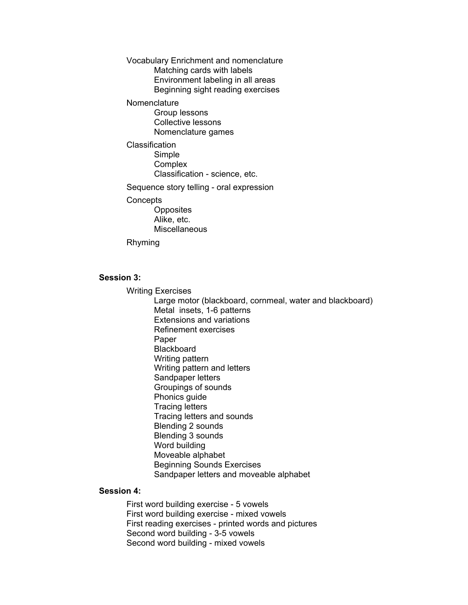Vocabulary Enrichment and nomenclature Matching cards with labels Environment labeling in all areas Beginning sight reading exercises

Nomenclature

Group lessons Collective lessons Nomenclature games

**Classification** Simple **Complex** Classification - science, etc.

Sequence story telling - oral expression

#### **Concepts**

**Opposites** Alike, etc. **Miscellaneous** 

Rhyming

# **Session 3:**

Writing Exercises

Large motor (blackboard, cornmeal, water and blackboard) Metal insets, 1-6 patterns Extensions and variations Refinement exercises Paper **Blackboard** Writing pattern Writing pattern and letters Sandpaper letters Groupings of sounds Phonics guide Tracing letters Tracing letters and sounds Blending 2 sounds Blending 3 sounds Word building Moveable alphabet Beginning Sounds Exercises Sandpaper letters and moveable alphabet

### **Session 4:**

First word building exercise - 5 vowels First word building exercise - mixed vowels First reading exercises - printed words and pictures Second word building - 3-5 vowels Second word building - mixed vowels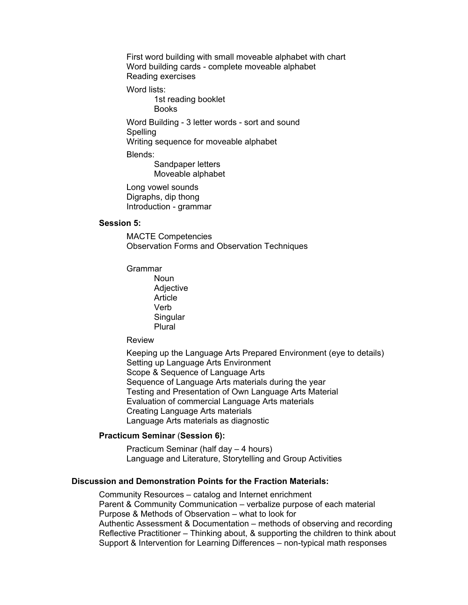First word building with small moveable alphabet with chart Word building cards - complete moveable alphabet Reading exercises

Word lists:

1st reading booklet Books

Word Building - 3 letter words - sort and sound **Spelling** 

Writing sequence for moveable alphabet

Blends:

Sandpaper letters Moveable alphabet

Long vowel sounds Digraphs, dip thong Introduction - grammar

### **Session 5:**

MACTE Competencies Observation Forms and Observation Techniques

Grammar

**Noun Adjective Article** Verb Singular Plural

Review

Keeping up the Language Arts Prepared Environment (eye to details) Setting up Language Arts Environment Scope & Sequence of Language Arts Sequence of Language Arts materials during the year Testing and Presentation of Own Language Arts Material Evaluation of commercial Language Arts materials Creating Language Arts materials Language Arts materials as diagnostic

### **Practicum Seminar** (**Session 6):**

Practicum Seminar (half day – 4 hours) Language and Literature, Storytelling and Group Activities

### **Discussion and Demonstration Points for the Fraction Materials:**

Community Resources – catalog and Internet enrichment Parent & Community Communication – verbalize purpose of each material Purpose & Methods of Observation – what to look for Authentic Assessment & Documentation – methods of observing and recording Reflective Practitioner – Thinking about, & supporting the children to think about Support & Intervention for Learning Differences – non-typical math responses